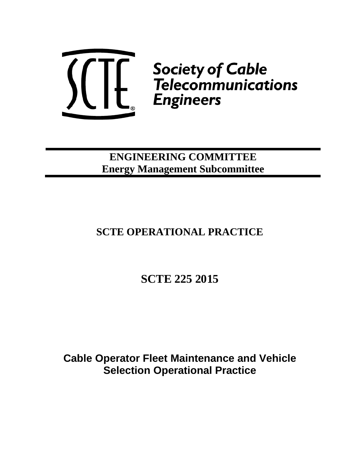

**ENGINEERING COMMITTEE Energy Management Subcommittee**

# **SCTE OPERATIONAL PRACTICE**

**SCTE 225 2015**

**Cable Operator Fleet Maintenance and Vehicle Selection Operational Practice**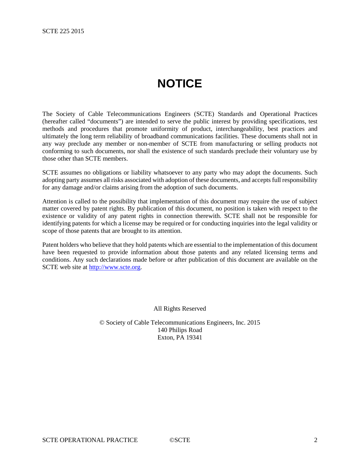# **NOTICE**

The Society of Cable Telecommunications Engineers (SCTE) Standards and Operational Practices (hereafter called "documents") are intended to serve the public interest by providing specifications, test methods and procedures that promote uniformity of product, interchangeability, best practices and ultimately the long term reliability of broadband communications facilities. These documents shall not in any way preclude any member or non-member of SCTE from manufacturing or selling products not conforming to such documents, nor shall the existence of such standards preclude their voluntary use by those other than SCTE members.

SCTE assumes no obligations or liability whatsoever to any party who may adopt the documents. Such adopting party assumes all risks associated with adoption of these documents, and accepts full responsibility for any damage and/or claims arising from the adoption of such documents.

Attention is called to the possibility that implementation of this document may require the use of subject matter covered by patent rights. By publication of this document, no position is taken with respect to the existence or validity of any patent rights in connection therewith. SCTE shall not be responsible for identifying patents for which a license may be required or for conducting inquiries into the legal validity or scope of those patents that are brought to its attention.

Patent holders who believe that they hold patents which are essential to the implementation of this document have been requested to provide information about those patents and any related licensing terms and conditions. Any such declarations made before or after publication of this document are available on the SCTE web site at [http://www.scte.org.](http://www.scte.org/)

All Rights Reserved

© Society of Cable Telecommunications Engineers, Inc. 2015 140 Philips Road Exton, PA 19341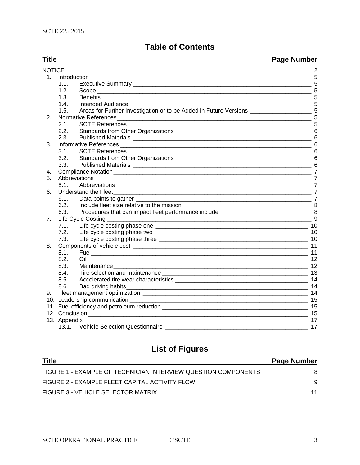# **Table of Contents**

**Title Page Number** NOTICE\_\_\_\_\_\_\_\_\_\_\_\_\_\_\_\_\_\_\_\_\_\_\_\_\_\_\_\_\_\_\_\_\_\_\_\_\_\_\_\_\_\_\_\_\_\_\_\_\_\_\_\_\_\_\_\_\_\_\_\_\_\_\_\_\_\_\_\_\_\_\_\_\_\_\_\_ 2 1. Introduction \_\_\_\_\_\_\_\_\_\_\_\_\_\_\_\_\_\_\_\_\_\_\_\_\_\_\_\_\_\_\_\_\_\_\_\_\_\_\_\_\_\_\_\_\_\_\_\_\_\_\_\_\_\_\_\_\_\_\_\_\_\_\_\_\_\_\_\_ 5 1.1. Executive Summary \_\_\_\_\_\_\_\_\_\_\_\_\_\_\_\_\_\_\_\_\_\_\_\_\_\_\_\_\_\_\_\_\_\_\_\_\_\_\_\_\_\_\_\_\_\_\_\_\_\_\_\_\_\_\_ 5 1.2. Scope  $\frac{5}{13}$  Benefits 1.3. Benefits\_\_\_\_\_\_\_\_\_\_\_\_\_\_\_\_\_\_\_\_\_\_\_\_\_\_\_\_\_\_\_\_\_\_\_\_\_\_\_\_\_\_\_\_\_\_\_\_\_\_\_\_\_\_\_\_\_\_\_\_\_\_\_\_\_ 5 1.4. Intended Audience \_\_\_\_\_\_\_\_\_\_\_\_\_\_\_\_\_\_\_\_\_\_\_\_\_\_\_\_\_\_\_\_\_\_\_\_\_\_\_\_\_\_\_\_\_\_\_\_\_\_\_\_\_\_\_\_ 5 1.5. Areas for Further Investigation or to be Added in Future Versions 5 2. Normative References\_\_\_\_\_\_\_\_\_\_\_\_\_\_\_\_\_\_\_\_\_\_\_\_\_\_\_\_\_\_\_\_\_\_\_\_\_\_\_\_\_\_\_\_\_\_\_\_\_\_\_\_\_\_\_\_\_\_\_\_ 5 2.1. SCTE References \_\_\_\_\_\_\_\_\_\_\_\_\_\_\_\_\_\_\_\_\_\_\_\_\_\_\_\_\_\_\_\_\_\_\_\_\_\_\_\_\_\_\_\_\_\_\_\_\_\_\_\_\_\_\_\_ 5 2.2. Standards from Other Organizations \_\_\_\_\_\_\_\_\_\_\_\_\_\_\_\_\_\_\_\_\_\_\_\_\_\_\_\_\_\_\_\_\_\_\_\_\_\_\_\_\_\_ 6 2.3. Published Materials \_\_\_\_\_\_\_\_\_\_\_\_\_\_\_\_\_\_\_\_\_\_\_\_\_\_\_\_\_\_\_\_\_\_\_\_\_\_\_\_\_\_\_\_\_\_\_\_\_\_\_\_\_\_\_ 6 3. Informative References \_\_\_\_\_\_\_\_\_\_\_\_\_\_\_\_\_\_\_\_\_\_\_\_\_\_\_\_\_\_\_\_\_\_\_\_\_\_\_\_\_\_\_\_\_\_\_\_\_\_\_\_\_\_\_\_\_\_\_ 6 3.1. SCTE References  $\overline{\phantom{a}}$ 3.2. Standards from Other Organizations \_\_\_\_\_\_\_\_\_\_\_\_\_\_\_\_\_\_\_\_\_\_\_\_\_\_\_\_\_\_\_\_\_\_\_\_\_\_\_\_\_\_ 6 3.3. Published Materials \_\_\_\_\_\_\_\_\_\_\_\_\_\_\_\_\_\_\_\_\_\_\_\_\_\_\_\_\_\_\_\_\_\_\_\_\_\_\_\_\_\_\_\_\_\_\_\_\_\_\_\_\_\_\_ 6 4. Compliance Notation \_\_\_\_\_\_\_\_\_\_\_\_\_\_\_\_\_\_\_\_\_\_\_\_\_\_\_\_\_\_\_\_\_\_\_\_\_\_\_\_\_\_\_\_\_\_\_\_\_\_\_\_\_\_\_\_\_\_\_\_\_ 7 5. Abbreviations 7 5.1. Abbreviations  $\overline{7}$ 6. Understand the Fleet\_\_\_\_\_\_\_\_\_\_\_\_\_\_\_\_\_\_\_\_\_\_\_\_\_\_\_\_\_\_\_\_\_\_\_\_\_\_\_\_\_\_\_\_\_\_\_\_\_\_\_\_\_\_\_\_\_\_\_\_\_ 7 6.1. Data points to gather \_\_\_\_\_\_\_\_\_\_\_\_\_\_\_\_\_\_\_\_\_\_\_\_\_\_\_\_\_\_\_\_\_\_\_\_\_\_\_\_\_\_\_\_\_\_\_\_\_\_\_\_\_\_ 7 6.2. Include fleet size relative to the mission\_\_\_\_\_\_\_\_\_\_\_\_\_\_\_\_\_\_\_\_\_\_\_\_\_\_\_\_\_\_\_\_\_\_\_\_\_\_\_\_ 8 6.3. Procedures that can impact fleet performance include \_\_\_\_\_\_\_\_\_\_\_\_\_\_\_\_\_\_\_\_\_\_\_\_\_\_\_\_ 8 7. Life Cycle Costing \_\_\_\_\_\_\_\_\_\_\_\_\_\_\_\_\_\_\_\_\_\_\_\_\_\_\_\_\_\_\_\_\_\_\_\_\_\_\_\_\_\_\_\_\_\_\_\_\_\_\_\_\_\_\_\_\_\_\_\_\_\_\_ 9 7.1. Life cycle costing phase one \_\_\_\_\_\_\_\_\_\_\_\_\_\_\_\_\_\_\_\_\_\_\_\_\_\_\_\_\_\_\_\_\_\_\_\_\_\_\_\_\_\_\_\_\_\_\_ 10 7.2. Life cycle costing phase two\_\_\_\_\_\_\_\_\_\_\_\_\_\_\_\_\_\_\_\_\_\_\_\_\_\_\_\_\_\_\_\_\_\_\_\_\_\_\_\_\_\_\_\_\_\_\_\_ 10 7.3. Life cycle costing phase three \_\_\_\_\_\_\_\_\_\_\_\_\_\_\_\_\_\_\_\_\_\_\_\_\_\_\_\_\_\_\_\_\_\_\_\_\_\_\_\_\_\_\_\_\_\_ 10 8. Components of vehicle cost \_\_\_\_\_\_\_\_\_\_\_\_\_\_\_\_\_\_\_\_\_\_\_\_\_\_\_\_\_\_\_\_\_\_\_\_\_\_\_\_\_\_\_\_\_\_\_\_\_\_\_\_\_\_ 11 8.1. Fuel\_\_\_\_\_\_\_\_\_\_\_\_\_\_\_\_\_\_\_\_\_\_\_\_\_\_\_\_\_\_\_\_\_\_\_\_\_\_\_\_\_\_\_\_\_\_\_\_\_\_\_\_\_\_\_\_\_\_\_\_\_\_\_\_\_\_\_ 11 8.2. Oil \_\_\_\_\_\_\_\_\_\_\_\_\_\_\_\_\_\_\_\_\_\_\_\_\_\_\_\_\_\_\_\_\_\_\_\_\_\_\_\_\_\_\_\_\_\_\_\_\_\_\_\_\_\_\_\_\_\_\_\_\_\_\_\_\_\_\_\_ 12 8.3. Maintenance\_\_\_\_\_\_\_\_\_\_\_\_\_\_\_\_\_\_\_\_\_\_\_\_\_\_\_\_\_\_\_\_\_\_\_\_\_\_\_\_\_\_\_\_\_\_\_\_\_\_\_\_\_\_\_\_\_\_\_\_ 12 8.4. Tire selection and maintenance \_\_\_\_\_\_\_\_\_\_\_\_\_\_\_\_\_\_\_\_\_\_\_\_\_\_\_\_\_\_\_\_\_\_\_\_\_\_\_\_\_\_\_\_\_ 13 8.5. Accelerated tire wear characteristics \_\_\_\_\_\_\_\_\_\_\_\_\_\_\_\_\_\_\_\_\_\_\_\_\_\_\_\_\_\_\_\_\_\_\_\_\_\_\_\_\_ 14 8.6. Bad driving habits\_\_\_\_\_\_\_\_\_\_\_\_\_\_\_\_\_\_\_\_\_\_\_\_\_\_\_\_\_\_\_\_\_\_\_\_\_\_\_\_\_\_\_\_\_\_\_\_\_\_\_\_\_\_\_\_ 14 9. Fleet management optimization \_\_\_\_\_\_\_\_\_\_\_\_\_\_\_\_\_\_\_\_\_\_\_\_\_\_\_\_\_\_\_\_\_\_\_\_\_\_\_\_\_\_\_\_\_\_\_\_\_\_\_ 14 10. Leadership communication \_\_\_\_\_\_\_\_\_\_\_\_\_\_\_\_\_\_\_\_\_\_\_\_\_\_\_\_\_\_\_\_\_\_\_\_\_\_\_\_\_\_\_\_\_\_\_\_\_\_\_\_\_\_\_ 15 11. Fuel efficiency and petroleum reduction \_\_\_\_\_\_\_\_\_\_\_\_\_\_\_\_\_\_\_\_\_\_\_\_\_\_\_\_\_\_\_\_\_\_\_\_\_\_\_\_\_\_\_\_\_ 15 12. Conclusion\_\_\_\_\_\_\_\_\_\_\_\_\_\_\_\_\_\_\_\_\_\_\_\_\_\_\_\_\_\_\_\_\_\_\_\_\_\_\_\_\_\_\_\_\_\_\_\_\_\_\_\_\_\_\_\_\_\_\_\_\_\_\_\_\_\_\_\_ 15 13. Appendix \_\_\_\_\_\_\_\_\_\_\_\_\_\_\_\_\_\_\_\_\_\_\_\_\_\_\_\_\_\_\_\_\_\_\_\_\_\_\_\_\_\_\_\_\_\_\_\_\_\_\_\_\_\_\_\_\_\_\_\_\_\_\_\_\_\_\_\_\_ 17 13.1. Vehicle Selection Questionnaire \_\_\_\_\_\_\_\_\_\_\_\_\_\_\_\_\_\_\_\_\_\_\_\_\_\_\_\_\_\_\_\_\_\_\_\_\_\_\_\_\_\_\_\_ 17

# **List of Figures**

| <b>Title</b>                                                   | <b>Page Number</b> |
|----------------------------------------------------------------|--------------------|
| FIGURE 1 - EXAMPLE OF TECHNICIAN INTERVIEW QUESTION COMPONENTS | 8                  |
| FIGURE 2 - EXAMPLE FLEET CAPITAL ACTIVITY FLOW                 | 9                  |
| FIGURE 3 - VEHICLE SELECTOR MATRIX                             |                    |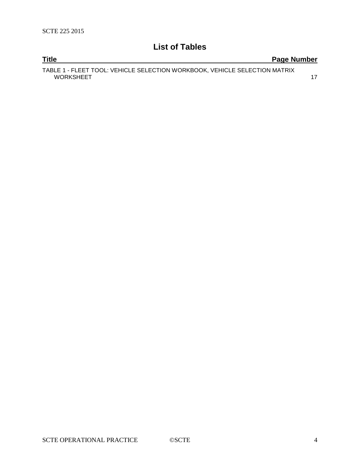# **List of Tables**

| <b>Title</b>                                                               | Page Number |
|----------------------------------------------------------------------------|-------------|
| TABLE 1 - FLEET TOOL: VEHICLE SELECTION WORKBOOK, VEHICLE SELECTION MATRIX |             |
| <b>WORKSHEET</b>                                                           |             |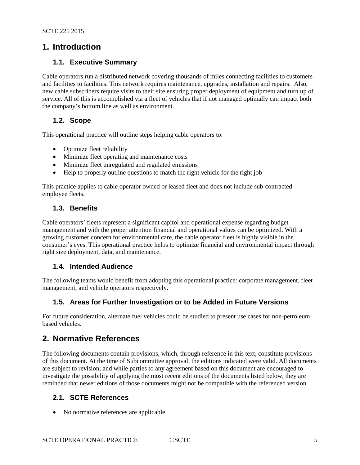# **1. Introduction**

#### **1.1. Executive Summary**

Cable operators run a distributed network covering thousands of miles connecting facilities to customers and facilities to facilities. This network requires maintenance, upgrades, installation and repairs. Also, new cable subscribers require visits to their site ensuring proper deployment of equipment and turn up of service. All of this is accomplished via a fleet of vehicles that if not managed optimally can impact both the company's bottom line as well as environment.

#### **1.2. Scope**

This operational practice will outline steps helping cable operators to:

- Optimize fleet reliability
- Minimize fleet operating and maintenance costs
- Minimize fleet unregulated and regulated emissions
- Help to properly outline questions to match the right vehicle for the right job

This practice applies to cable operator owned or leased fleet and does not include sub-contracted employee fleets.

#### **1.3. Benefits**

Cable operators' fleets represent a significant capitol and operational expense regarding budget management and with the proper attention financial and operational values can be optimized. With a growing customer concern for environmental care, the cable operator fleet is highly visible in the consumer's eyes. This operational practice helps to optimize financial and environmental impact through right size deployment, data, and maintenance.

#### **1.4. Intended Audience**

The following teams would benefit from adopting this operational practice: corporate management, fleet management, and vehicle operators respectively.

#### **1.5. Areas for Further Investigation or to be Added in Future Versions**

For future consideration, alternate fuel vehicles could be studied to present use cases for non-petroleum based vehicles.

# **2. Normative References**

The following documents contain provisions, which, through reference in this text, constitute provisions of this document. At the time of Subcommittee approval, the editions indicated were valid. All documents are subject to revision; and while parties to any agreement based on this document are encouraged to investigate the possibility of applying the most recent editions of the documents listed below, they are reminded that newer editions of those documents might not be compatible with the referenced version.

#### **2.1. SCTE References**

• No normative references are applicable.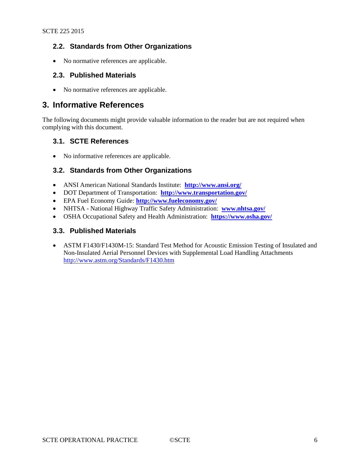### **2.2. Standards from Other Organizations**

• No normative references are applicable.

#### **2.3. Published Materials**

• No normative references are applicable.

## **3. Informative References**

The following documents might provide valuable information to the reader but are not required when complying with this document.

#### **3.1. SCTE References**

• No informative references are applicable.

### **3.2. Standards from Other Organizations**

- ANSI American National Standards Institute: **<http://www.ansi.org/>**
- DOT Department of Transportation: **<http://www.transportation.gov/>**
- EPA Fuel Economy Guide: **<http://www.fueleconomy.gov/>**
- NHTSA National Highway Traffic Safety Administration: **[www.nhtsa.gov/](http://www.nhtsa.gov/)**
- OSHA Occupational Safety and Health Administration: **<https://www.osha.gov/>**

#### **3.3. Published Materials**

• ASTM F1430/F1430M-15: Standard Test Method for Acoustic Emission Testing of Insulated and Non-Insulated Aerial Personnel Devices with Supplemental Load Handling Attachments <http://www.astm.org/Standards/F1430.htm>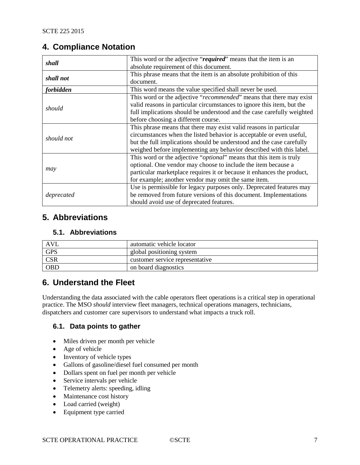# **4. Compliance Notation**

| shall      | This word or the adjective "required" means that the item is an        |
|------------|------------------------------------------------------------------------|
|            | absolute requirement of this document.                                 |
| shall not  | This phrase means that the item is an absolute prohibition of this     |
|            | document.                                                              |
| forbidden  | This word means the value specified shall never be used.               |
| should     | This word or the adjective "recommended" means that there may exist    |
|            | valid reasons in particular circumstances to ignore this item, but the |
|            | full implications should be understood and the case carefully weighted |
|            | before choosing a different course.                                    |
| should not | This phrase means that there may exist valid reasons in particular     |
|            | circumstances when the listed behavior is acceptable or even useful,   |
|            | but the full implications should be understood and the case carefully  |
|            | weighed before implementing any behavior described with this label.    |
|            | This word or the adjective "optional" means that this item is truly    |
| may        | optional. One vendor may choose to include the item because a          |
|            | particular marketplace requires it or because it enhances the product, |
|            | for example; another vendor may omit the same item.                    |
|            | Use is permissible for legacy purposes only. Deprecated features may   |
| deprecated | be removed from future versions of this document. Implementations      |
|            | should avoid use of deprecated features.                               |

# **5. Abbreviations**

### **5.1. Abbreviations**

| AVL        | automatic vehicle locator       |
|------------|---------------------------------|
| <b>GPS</b> | global positioning system       |
| <b>CSR</b> | customer service representative |
| <b>OBD</b> | on board diagnostics            |

# **6. Understand the Fleet**

Understanding the data associated with the cable operators fleet operations is a critical step in operational practice. The MSO *should* interview fleet managers, technical operations managers, technicians, dispatchers and customer care supervisors to understand what impacts a truck roll.

#### **6.1. Data points to gather**

- Miles driven per month per vehicle
- Age of vehicle
- Inventory of vehicle types
- Gallons of gasoline/diesel fuel consumed per month
- Dollars spent on fuel per month per vehicle
- Service intervals per vehicle
- Telemetry alerts: speeding, idling
- Maintenance cost history
- Load carried (weight)
- Equipment type carried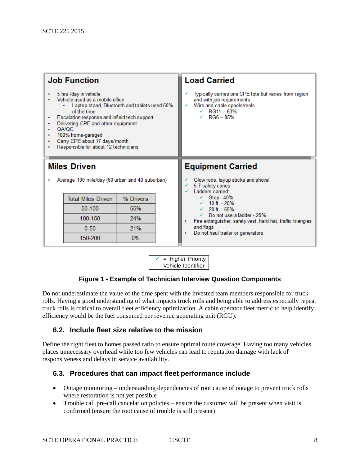| <b>Job Function</b><br>5 hrs./day in vehicle<br>٠<br>Vehicle used as a mobile office<br>Laptop stand, Bluetooth and tablets used 50%<br>of the time<br>Escalation response and infield tech support<br>٠<br>Delivering CPE and other equipment<br>٠<br>QA/QC<br>۰<br>100% home-garaged<br>٠<br>Carry CPE about 17 days/month<br>٠<br>Responsible for about 12 technicians<br>۰ |                           | <b>Load Carried</b><br>Typically carries one CPE tote but varies from region<br>and with job requirements<br>Wire and cable spools/reels<br>$\sqrt{}$ RG11 - 63%<br>$\sqrt{ }$ RG6 - 85% |                                                                                                       |
|--------------------------------------------------------------------------------------------------------------------------------------------------------------------------------------------------------------------------------------------------------------------------------------------------------------------------------------------------------------------------------|---------------------------|------------------------------------------------------------------------------------------------------------------------------------------------------------------------------------------|-------------------------------------------------------------------------------------------------------|
| <b>Miles Driven</b><br>Average 100 mile/day (60 urban and 40 suburban)<br>٠                                                                                                                                                                                                                                                                                                    |                           | <b>Equipment Carried</b><br>Glow rods, layup sticks and shovel<br>5-7 safety cones<br>Ladders carried:                                                                                   |                                                                                                       |
|                                                                                                                                                                                                                                                                                                                                                                                | <b>Total Miles Driven</b> | % Drivers                                                                                                                                                                                | $\checkmark$ Step - 40%<br>$\sqrt{10}$ ft. - 20%                                                      |
|                                                                                                                                                                                                                                                                                                                                                                                | 50-100                    | 55%                                                                                                                                                                                      | $\sqrt{28}$ ft - 55%                                                                                  |
|                                                                                                                                                                                                                                                                                                                                                                                | 100-150                   | 24%                                                                                                                                                                                      | $\checkmark$ Do not use a ladder - 29%<br>Fire extinguisher, safety vest, hard hat, traffic triangles |
|                                                                                                                                                                                                                                                                                                                                                                                |                           |                                                                                                                                                                                          |                                                                                                       |
|                                                                                                                                                                                                                                                                                                                                                                                | $0 - 50$                  | 21%                                                                                                                                                                                      | and flags<br>Do not haul trailer or generators                                                        |

 $\checkmark$  = Higher Priority Vehicle Identifier

#### **Figure 1 - Example of Technician Interview Question Components**

Do not underestimate the value of the time spent with the invested team members responsible for truck rolls. Having a good understanding of what impacts truck rolls and being able to address especially repeat truck rolls is critical to overall fleet efficiency optimization. A cable operator fleet metric to help identify efficiency would be the fuel consumed per revenue generating unit (RGU).

#### **6.2. Include fleet size relative to the mission**

Define the right fleet to homes passed ratio to ensure optimal route coverage. Having too many vehicles places unnecessary overhead while too few vehicles can lead to reputation damage with lack of responsiveness and delays in service availability.

#### **6.3. Procedures that can impact fleet performance include**

- Outage monitoring understanding dependencies of root cause of outage to prevent truck rolls where restoration is not yet possible
- Trouble call pre-call cancelation policies ensure the customer will be present when visit is confirmed (ensure the root cause of trouble is still present)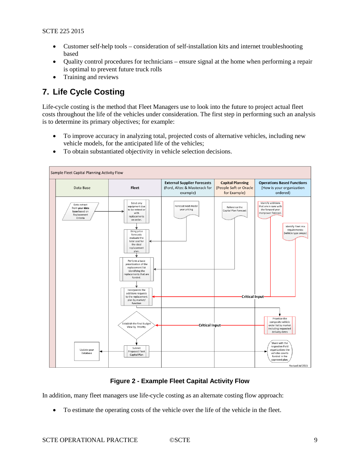- Customer self-help tools consideration of self-installation kits and internet troubleshooting based
- Quality control procedures for technicians ensure signal at the home when performing a repair is optimal to prevent future truck rolls
- Training and reviews

# **7. Life Cycle Costing**

Life-cycle costing is the method that Fleet Managers use to look into the future to project actual fleet costs throughout the life of the vehicles under consideration. The first step in performing such an analysis is to determine its primary objectives; for example:

- To improve accuracy in analyzing total, projected costs of alternative vehicles, including new vehicle models, for the anticipated life of the vehicles;
- To obtain substantiated objectivity in vehicle selection decisions.



#### **Figure 2 - Example Fleet Capital Activity Flow**

In addition, many fleet managers use life-cycle costing as an alternate costing flow approach:

• To estimate the operating costs of the vehicle over the life of the vehicle in the fleet.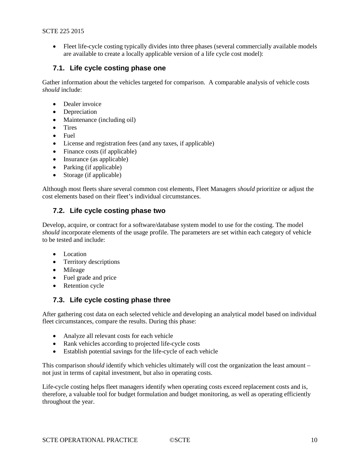• Fleet life-cycle costing typically divides into three phases (several commercially available models are available to create a locally applicable version of a life cycle cost model):

#### **7.1. Life cycle costing phase one**

Gather information about the vehicles targeted for comparison. A comparable analysis of vehicle costs *should* include:

- Dealer invoice
- Depreciation
- Maintenance (including oil)
- Tires
- Fuel
- License and registration fees (and any taxes, if applicable)
- Finance costs (if applicable)
- Insurance (as applicable)
- Parking (if applicable)
- Storage (if applicable)

Although most fleets share several common cost elements, Fleet Managers *should* prioritize or adjust the cost elements based on their fleet's individual circumstances.

### **7.2. Life cycle costing phase two**

Develop, acquire, or contract for a software/database system model to use for the costing. The model *should* incorporate elements of the usage profile. The parameters are set within each category of vehicle to be tested and include:

- Location
- Territory descriptions
- Mileage
- Fuel grade and price
- Retention cycle

#### **7.3. Life cycle costing phase three**

After gathering cost data on each selected vehicle and developing an analytical model based on individual fleet circumstances, compare the results. During this phase:

- Analyze all relevant costs for each vehicle
- Rank vehicles according to projected life-cycle costs
- Establish potential savings for the life-cycle of each vehicle

This comparison *should* identify which vehicles ultimately will cost the organization the least amount – not just in terms of capital investment, but also in operating costs.

Life-cycle costing helps fleet managers identify when operating costs exceed replacement costs and is, therefore, a valuable tool for budget formulation and budget monitoring, as well as operating efficiently throughout the year.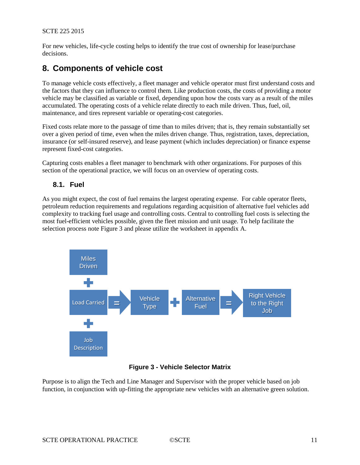For new vehicles, life-cycle costing helps to identify the true cost of ownership for lease/purchase decisions.

# **8. Components of vehicle cost**

To manage vehicle costs effectively, a fleet manager and vehicle operator must first understand costs and the factors that they can influence to control them. Like production costs, the costs of providing a motor vehicle may be classified as variable or fixed, depending upon how the costs vary as a result of the miles accumulated. The operating costs of a vehicle relate directly to each mile driven. Thus, fuel, oil, maintenance, and tires represent variable or operating-cost categories.

Fixed costs relate more to the passage of time than to miles driven; that is, they remain substantially set over a given period of time, even when the miles driven change. Thus, registration, taxes, depreciation, insurance (or self-insured reserve), and lease payment (which includes depreciation) or finance expense represent fixed-cost categories.

Capturing costs enables a fleet manager to benchmark with other organizations. For purposes of this section of the operational practice, we will focus on an overview of operating costs.

#### **8.1. Fuel**

As you might expect, the cost of fuel remains the largest operating expense. For cable operator fleets, petroleum reduction requirements and regulations regarding acquisition of alternative fuel vehicles add complexity to tracking fuel usage and controlling costs. Central to controlling fuel costs is selecting the most fuel-efficient vehicles possible, given the fleet mission and unit usage. To help facilitate the selection process note Figure 3 and please utilize the worksheet in appendix A.



#### **Figure 3 - Vehicle Selector Matrix**

Purpose is to align the Tech and Line Manager and Supervisor with the proper vehicle based on job function, in conjunction with up-fitting the appropriate new vehicles with an alternative green solution.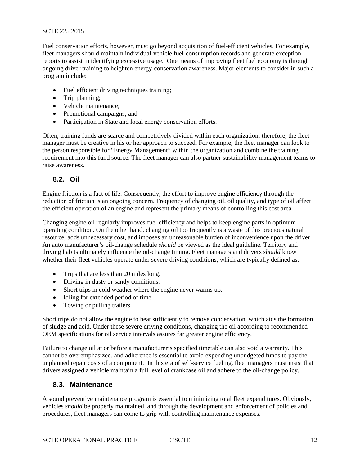Fuel conservation efforts, however, must go beyond acquisition of fuel-efficient vehicles. For example, fleet managers should maintain individual-vehicle fuel-consumption records and generate exception reports to assist in identifying excessive usage. One means of improving fleet fuel economy is through ongoing driver training to heighten energy-conservation awareness. Major elements to consider in such a program include:

- Fuel efficient driving techniques training;
- Trip planning:
- Vehicle maintenance:
- Promotional campaigns; and
- Participation in State and local energy conservation efforts.

Often, training funds are scarce and competitively divided within each organization; therefore, the fleet manager must be creative in his or her approach to succeed. For example, the fleet manager can look to the person responsible for "Energy Management" within the organization and combine the training requirement into this fund source. The fleet manager can also partner sustainability management teams to raise awareness.

### **8.2. Oil**

Engine friction is a fact of life. Consequently, the effort to improve engine efficiency through the reduction of friction is an ongoing concern. Frequency of changing oil, oil quality, and type of oil affect the efficient operation of an engine and represent the primary means of controlling this cost area.

Changing engine oil regularly improves fuel efficiency and helps to keep engine parts in optimum operating condition. On the other hand, changing oil too frequently is a waste of this precious natural resource, adds unnecessary cost, and imposes an unreasonable burden of inconvenience upon the driver. An auto manufacturer's oil-change schedule *should* be viewed as the ideal guideline. Territory and driving habits ultimately influence the oil-change timing. Fleet managers and drivers *should* know whether their fleet vehicles operate under severe driving conditions, which are typically defined as:

- Trips that are less than 20 miles long.
- Driving in dusty or sandy conditions.
- Short trips in cold weather where the engine never warms up.
- Idling for extended period of time.
- Towing or pulling trailers.

Short trips do not allow the engine to heat sufficiently to remove condensation, which aids the formation of sludge and acid. Under these severe driving conditions, changing the oil according to recommended OEM specifications for oil service intervals assures far greater engine efficiency.

Failure to change oil at or before a manufacturer's specified timetable can also void a warranty. This cannot be overemphasized, and adherence is essential to avoid expending unbudgeted funds to pay the unplanned repair costs of a component. In this era of self-service fueling, fleet managers must insist that drivers assigned a vehicle maintain a full level of crankcase oil and adhere to the oil-change policy.

#### **8.3. Maintenance**

A sound preventive maintenance program is essential to minimizing total fleet expenditures. Obviously, vehicles *should* be properly maintained, and through the development and enforcement of policies and procedures, fleet managers can come to grip with controlling maintenance expenses.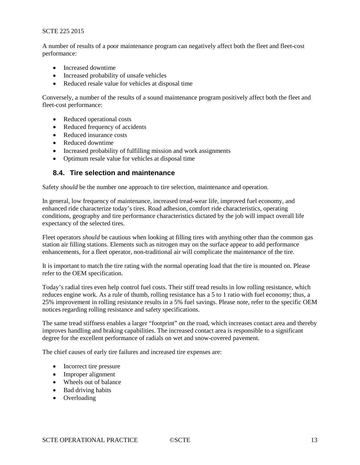A number of results of a poor maintenance program can negatively affect both the fleet and fleet-cost performance:

- Increased downtime
- Increased probability of unsafe vehicles
- Reduced resale value for vehicles at disposal time

Conversely, a number of the results of a sound maintenance program positively affect both the fleet and fleet-cost performance:

- Reduced operational costs
- Reduced frequency of accidents
- Reduced insurance costs
- Reduced downtime
- Increased probability of fulfilling mission and work assignments
- Optimum resale value for vehicles at disposal time

#### **8.4. Tire selection and maintenance**

Safety *should* be the number one approach to tire selection, maintenance and operation.

In general, low frequency of maintenance, increased tread-wear life, improved fuel economy, and enhanced ride characterize today's tires. Road adhesion, comfort ride characteristics, operating conditions, geography and tire performance characteristics dictated by the job will impact overall life expectancy of the selected tires.

Fleet operators *should* be cautious when looking at filling tires with anything other than the common gas station air filling stations. Elements such as nitrogen may on the surface appear to add performance enhancements, for a fleet operator, non-traditional air will complicate the maintenance of the tire.

It is important to match the tire rating with the normal operating load that the tire is mounted on. Please refer to the OEM specification.

Today's radial tires even help control fuel costs. Their stiff tread results in low rolling resistance, which reduces engine work. As a rule of thumb, rolling resistance has a 5 to 1 ratio with fuel economy; thus, a 25% improvement in rolling resistance results in a 5% fuel savings. Please note, refer to the specific OEM notices regarding rolling resistance and safety specifications.

The same tread stiffness enables a larger "footprint" on the road, which increases contact area and thereby improves handling and braking capabilities. The increased contact area is responsible to a significant degree for the excellent performance of radials on wet and snow-covered pavement.

The chief causes of early tire failures and increased tire expenses are:

- Incorrect tire pressure
- Improper alignment
- Wheels out of balance
- Bad driving habits
- Overloading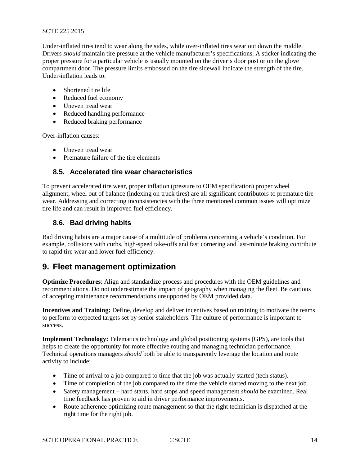Under-inflated tires tend to wear along the sides, while over-inflated tires wear out down the middle. Drivers *should* maintain tire pressure at the vehicle manufacturer's specifications. A sticker indicating the proper pressure for a particular vehicle is usually mounted on the driver's door post or on the glove compartment door. The pressure limits embossed on the tire sidewall indicate the strength of the tire. Under-inflation leads to:

- Shortened tire life
- Reduced fuel economy
- Uneven tread wear
- Reduced handling performance
- Reduced braking performance

Over-inflation causes:

- Uneven tread wear
- Premature failure of the tire elements

#### **8.5. Accelerated tire wear characteristics**

To prevent accelerated tire wear, proper inflation (pressure to OEM specification) proper wheel alignment, wheel out of balance (indexing on truck tires) are all significant contributors to premature tire wear. Addressing and correcting inconsistencies with the three mentioned common issues will optimize tire life and can result in improved fuel efficiency.

#### **8.6. Bad driving habits**

Bad driving habits are a major cause of a multitude of problems concerning a vehicle's condition. For example, collisions with curbs, high-speed take-offs and fast cornering and last-minute braking contribute to rapid tire wear and lower fuel efficiency.

# **9. Fleet management optimization**

**Optimize Procedures**: Align and standardize process and procedures with the OEM guidelines and recommendations. Do not underestimate the impact of geography when managing the fleet. Be cautious of accepting maintenance recommendations unsupported by OEM provided data.

**Incentives and Training:** Define, develop and deliver incentives based on training to motivate the teams to perform to expected targets set by senior stakeholders. The culture of performance is important to success.

**Implement Technology:** Telematics technology and global positioning systems (GPS), are tools that helps to create the opportunity for more effective routing and managing technician performance. Technical operations managers *should* both be able to transparently leverage the location and route activity to include:

- Time of arrival to a job compared to time that the job was actually started (tech status).
- Time of completion of the job compared to the time the vehicle started moving to the next job.
- Safety management hard starts, hard stops and speed management *should* be examined. Real time feedback has proven to aid in driver performance improvements.
- Route adherence optimizing route management so that the right technician is dispatched at the right time for the right job.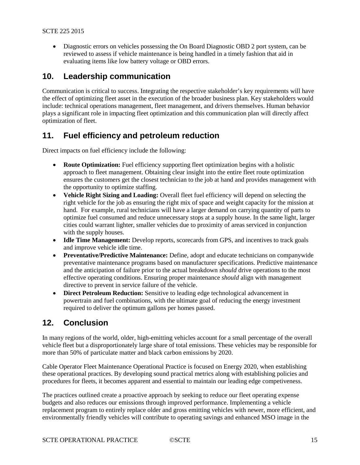• Diagnostic errors on vehicles possessing the On Board Diagnostic OBD 2 port system, can be reviewed to assess if vehicle maintenance is being handled in a timely fashion that aid in evaluating items like low battery voltage or OBD errors.

# **10. Leadership communication**

Communication is critical to success. Integrating the respective stakeholder's key requirements will have the effect of optimizing fleet asset in the execution of the broader business plan. Key stakeholders would include: technical operations management, fleet management, and drivers themselves. Human behavior plays a significant role in impacting fleet optimization and this communication plan will directly affect optimization of fleet.

# **11. Fuel efficiency and petroleum reduction**

Direct impacts on fuel efficiency include the following:

- **Route Optimization:** Fuel efficiency supporting fleet optimization begins with a holistic approach to fleet management. Obtaining clear insight into the entire fleet route optimization ensures the customers get the closest technician to the job at hand and provides management with the opportunity to optimize staffing.
- **Vehicle Right Sizing and Loading:** Overall fleet fuel efficiency will depend on selecting the right vehicle for the job as ensuring the right mix of space and weight capacity for the mission at hand. For example, rural technicians will have a larger demand on carrying quantity of parts to optimize fuel consumed and reduce unnecessary stops at a supply house. In the same light, larger cities could warrant lighter, smaller vehicles due to proximity of areas serviced in conjunction with the supply houses.
- **Idle Time Management:** Develop reports, scorecards from GPS, and incentives to track goals and improve vehicle idle time.
- **Preventative/Predictive Maintenance:** Define, adopt and educate technicians on companywide preventative maintenance programs based on manufacturer specifications. Predictive maintenance and the anticipation of failure prior to the actual breakdown *should* drive operations to the most effective operating conditions. Ensuring proper maintenance *should* align with management directive to prevent in service failure of the vehicle.
- **Direct Petroleum Reduction:** Sensitive to leading edge technological advancement in powertrain and fuel combinations, with the ultimate goal of reducing the energy investment required to deliver the optimum gallons per homes passed.

# **12. Conclusion**

In many regions of the world, older, high-emitting vehicles account for a small percentage of the overall vehicle fleet but a disproportionately large share of total emissions. These vehicles may be responsible for more than 50% of particulate matter and black carbon emissions by 2020.

Cable Operator Fleet Maintenance Operational Practice is focused on Energy 2020, when establishing these operational practices. By developing sound practical metrics along with establishing policies and procedures for fleets, it becomes apparent and essential to maintain our leading edge competiveness.

The practices outlined create a proactive approach by seeking to reduce our fleet operating expense budgets and also reduces our emissions through improved performance. Implementing a vehicle replacement program to entirely replace older and gross emitting vehicles with newer, more efficient, and environmentally friendly vehicles will contribute to operating savings and enhanced MSO image in the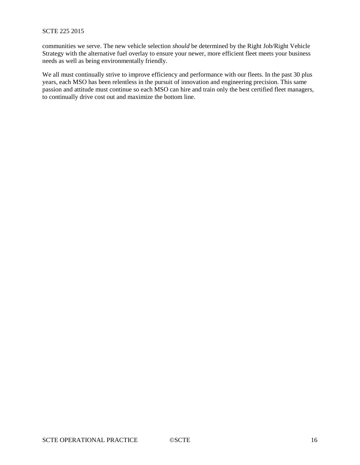communities we serve. The new vehicle selection *should* be determined by the Right Job/Right Vehicle Strategy with the alternative fuel overlay to ensure your newer, more efficient fleet meets your business needs as well as being environmentally friendly.

We all must continually strive to improve efficiency and performance with our fleets. In the past 30 plus years, each MSO has been relentless in the pursuit of innovation and engineering precision. This same passion and attitude must continue so each MSO can hire and train only the best certified fleet managers, to continually drive cost out and maximize the bottom line.